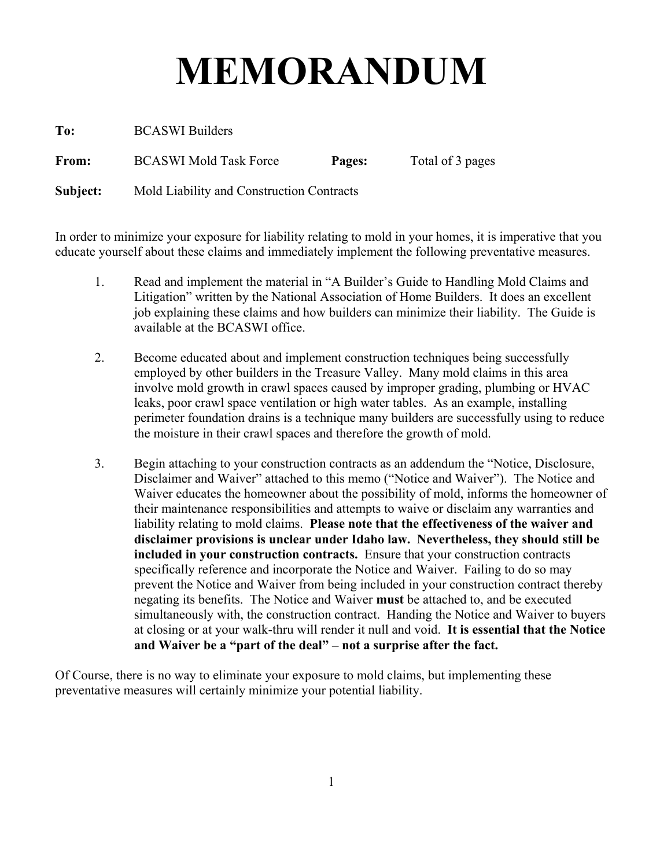# **MEMORANDUM**

**To:** BCASWI Builders

**From:** BCASWI Mold Task Force **Pages:** Total of 3 pages

**Subject:** Mold Liability and Construction Contracts

In order to minimize your exposure for liability relating to mold in your homes, it is imperative that you educate yourself about these claims and immediately implement the following preventative measures.

- 1. Read and implement the material in "A Builder's Guide to Handling Mold Claims and Litigation" written by the National Association of Home Builders. It does an excellent job explaining these claims and how builders can minimize their liability. The Guide is available at the BCASWI office.
- 2. Become educated about and implement construction techniques being successfully employed by other builders in the Treasure Valley. Many mold claims in this area involve mold growth in crawl spaces caused by improper grading, plumbing or HVAC leaks, poor crawl space ventilation or high water tables. As an example, installing perimeter foundation drains is a technique many builders are successfully using to reduce the moisture in their crawl spaces and therefore the growth of mold.
- 3. Begin attaching to your construction contracts as an addendum the "Notice, Disclosure, Disclaimer and Waiver" attached to this memo ("Notice and Waiver"). The Notice and Waiver educates the homeowner about the possibility of mold, informs the homeowner of their maintenance responsibilities and attempts to waive or disclaim any warranties and liability relating to mold claims. **Please note that the effectiveness of the waiver and disclaimer provisions is unclear under Idaho law. Nevertheless, they should still be included in your construction contracts.** Ensure that your construction contracts specifically reference and incorporate the Notice and Waiver. Failing to do so may prevent the Notice and Waiver from being included in your construction contract thereby negating its benefits. The Notice and Waiver **must** be attached to, and be executed simultaneously with, the construction contract. Handing the Notice and Waiver to buyers at closing or at your walk-thru will render it null and void. **It is essential that the Notice and Waiver be a "part of the deal" – not a surprise after the fact.**

Of Course, there is no way to eliminate your exposure to mold claims, but implementing these preventative measures will certainly minimize your potential liability.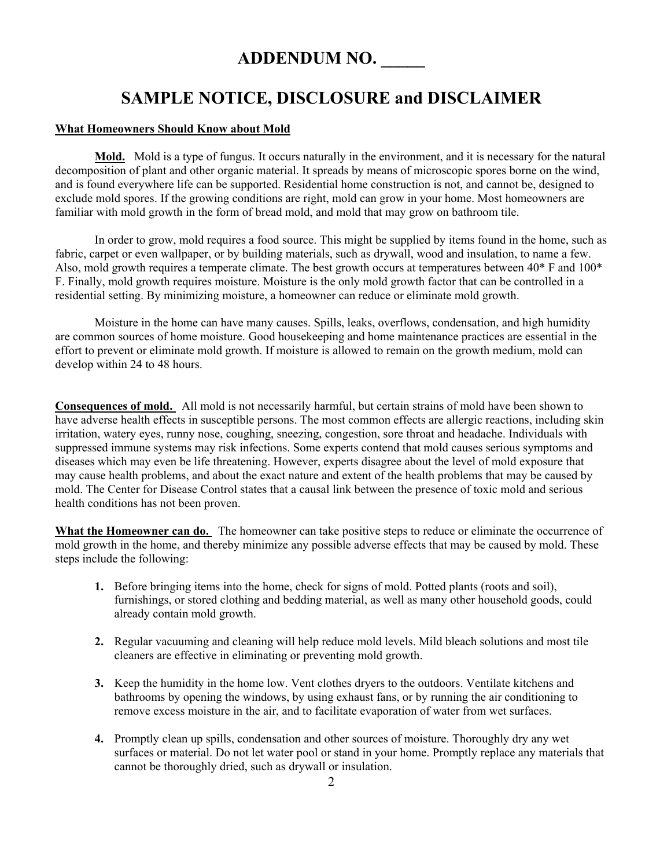## **ADDENDUM NO. \_\_\_\_\_**

## **SAMPLE NOTICE, DISCLOSURE and DISCLAIMER**

#### **What Homeowners Should Know about Mold**

**Mold.** Mold is a type of fungus. It occurs naturally in the environment, and it is necessary for the natural decomposition of plant and other organic material. It spreads by means of microscopic spores borne on the wind, and is found everywhere life can be supported. Residential home construction is not, and cannot be, designed to exclude mold spores. If the growing conditions are right, mold can grow in your home. Most homeowners are familiar with mold growth in the form of bread mold, and mold that may grow on bathroom tile.

In order to grow, mold requires a food source. This might be supplied by items found in the home, such as fabric, carpet or even wallpaper, or by building materials, such as drywall, wood and insulation, to name a few. Also, mold growth requires a temperate climate. The best growth occurs at temperatures between 40\* F and 100\* F. Finally, mold growth requires moisture. Moisture is the only mold growth factor that can be controlled in a residential setting. By minimizing moisture, a homeowner can reduce or eliminate mold growth.

Moisture in the home can have many causes. Spills, leaks, overflows, condensation, and high humidity are common sources of home moisture. Good housekeeping and home maintenance practices are essential in the effort to prevent or eliminate mold growth. If moisture is allowed to remain on the growth medium, mold can develop within 24 to 48 hours.

**Consequences of mold.** All mold is not necessarily harmful, but certain strains of mold have been shown to have adverse health effects in susceptible persons. The most common effects are allergic reactions, including skin irritation, watery eyes, runny nose, coughing, sneezing, congestion, sore throat and headache. Individuals with suppressed immune systems may risk infections. Some experts contend that mold causes serious symptoms and diseases which may even be life threatening. However, experts disagree about the level of mold exposure that may cause health problems, and about the exact nature and extent of the health problems that may be caused by mold. The Center for Disease Control states that a causal link between the presence of toxic mold and serious health conditions has not been proven.

**What the Homeowner can do.** The homeowner can take positive steps to reduce or eliminate the occurrence of mold growth in the home, and thereby minimize any possible adverse effects that may be caused by mold. These steps include the following:

- **1.** Before bringing items into the home, check for signs of mold. Potted plants (roots and soil), furnishings, or stored clothing and bedding material, as well as many other household goods, could already contain mold growth.
- **2.** Regular vacuuming and cleaning will help reduce mold levels. Mild bleach solutions and most tile cleaners are effective in eliminating or preventing mold growth.
- **3.** Keep the humidity in the home low. Vent clothes dryers to the outdoors. Ventilate kitchens and bathrooms by opening the windows, by using exhaust fans, or by running the air conditioning to remove excess moisture in the air, and to facilitate evaporation of water from wet surfaces.
- **4.** Promptly clean up spills, condensation and other sources of moisture. Thoroughly dry any wet surfaces or material. Do not let water pool or stand in your home. Promptly replace any materials that cannot be thoroughly dried, such as drywall or insulation.